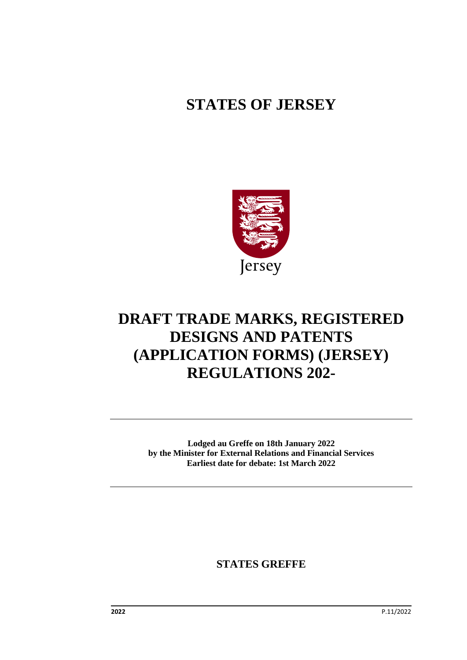# **STATES OF JERSEY**



# **DRAFT TRADE MARKS, REGISTERED DESIGNS AND PATENTS (APPLICATION FORMS) (JERSEY) REGULATIONS 202-**

**Lodged au Greffe on 18th January 2022 by the Minister for External Relations and Financial Services Earliest date for debate: 1st March 2022**

**STATES GREFFE**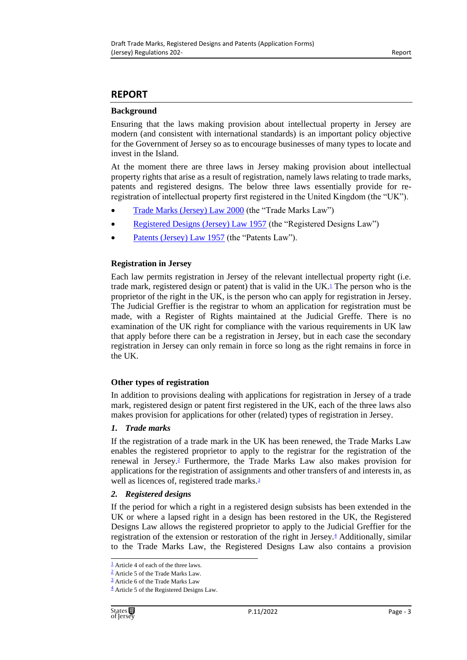### **REPORT**

#### **Background**

Ensuring that the laws making provision about intellectual property in Jersey are modern (and consistent with international standards) is an important policy objective for the Government of Jersey so as to encourage businesses of many types to locate and invest in the Island.

At the moment there are three laws in Jersey making provision about intellectual property rights that arise as a result of registration, namely laws relating to trade marks, patents and registered designs. The below three laws essentially provide for reregistration of intellectual property first registered in the United Kingdom (the "UK").

- [Trade Marks \(Jersey\) Law 2000](https://www.jerseylaw.je/laws/current/Pages/05.900.aspx) (the "Trade Marks Law")
- [Registered Designs \(Jersey\) Law 1957](https://www.jerseylaw.je/laws/current/Pages/05.700.aspx) (the "Registered Designs Law")
- [Patents \(Jersey\) Law 1957](https://www.jerseylaw.je/laws/current/Pages/05.575.aspx) (the "Patents Law").

#### **Registration in Jersey**

<span id="page-2-4"></span>Each law permits registration in Jersey of the relevant intellectual property right (i.e. trade mark, registered design or patent) that is valid in the UK[.](#page-2-0) $<sup>1</sup>$  The person who is the</sup> proprietor of the right in the UK, is the person who can apply for registration in Jersey. The Judicial Greffier is the registrar to whom an application for registration must be made, with a Register of Rights maintained at the Judicial Greffe. There is no examination of the UK right for compliance with the various requirements in UK law that apply before there can be a registration in Jersey, but in each case the secondary registration in Jersey can only remain in force so long as the right remains in force in the UK.

#### **Other types of registration**

In addition to provisions dealing with applications for registration in Jersey of a trade mark, registered design or patent first registered in the UK, each of the three laws also makes provision for applications for other (related) types of registration in Jersey.

#### *1. Trade marks*

<span id="page-2-5"></span>If the registration of a trade mark in the UK has been renewed, the Trade Marks Law enables the registered proprietor to apply to the registrar for the registration of the renewal in Jersey[.](#page-2-1)<sup>2</sup> Furthermore, the Trade Marks Law also makes provision for applications for the registration of assignments and other transfers of and interests in, as well as licences of, registered trade marks[.](#page-2-2)<sup>3</sup>

#### <span id="page-2-6"></span>*2. Registered designs*

<span id="page-2-7"></span>If the period for which a right in a registered design subsists has been extended in the UK or where a lapsed right in a design has been restored in the UK, the Registered Designs Law allows the registered proprietor to apply to the Judicial Greffier for the registration of the extension or restoration of the right in Jersey[.](#page-2-3)<sup>4</sup> Additionally, similar to the Trade Marks Law, the Registered Designs Law also contains a provision

<span id="page-2-0"></span> $\frac{1}{2}$  $\frac{1}{2}$  $\frac{1}{2}$  Article 4 of each of the three laws.

<span id="page-2-1"></span>[<sup>2</sup>](#page-2-5) Article 5 of the Trade Marks Law.

<span id="page-2-2"></span> $\frac{3}{2}$  $\frac{3}{2}$  $\frac{3}{2}$  Article 6 of the Trade Marks Law

<span id="page-2-3"></span> $\frac{4}{3}$  $\frac{4}{3}$  $\frac{4}{3}$  Article 5 of the Registered Designs Law.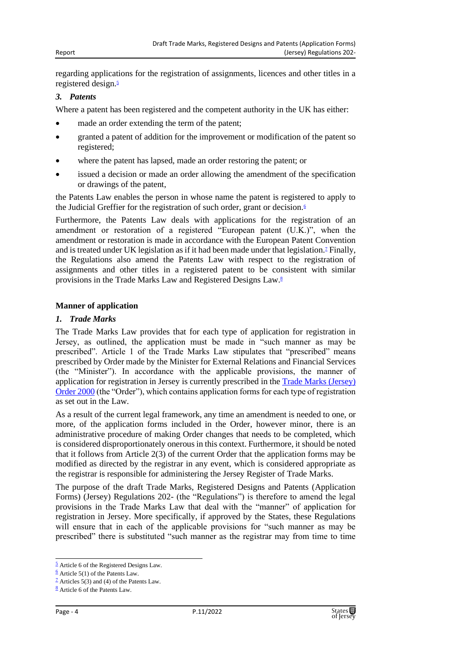<span id="page-3-4"></span>regarding applications for the registration of assignments, licences and other titles in a registered design[.](#page-3-0)<sup>5</sup>

#### *3. Patents*

Where a patent has been registered and the competent authority in the UK has either:

- made an order extending the term of the patent;
- granted a patent of addition for the improvement or modification of the patent so registered;
- where the patent has lapsed, made an order restoring the patent; or
- issued a decision or made an order allowing the amendment of the specification or drawings of the patent,

<span id="page-3-5"></span>the Patents Law enables the person in whose name the patent is registered to apply to the Judicial Greffier for the registration of such order, grant or decision[.](#page-3-1)<sup>6</sup>

<span id="page-3-6"></span>Furthermore, the Patents Law deals with applications for the registration of an amendment or restoration of a registered "European patent (U.K.)", when the amendment or restoration is made in accordance with the European Patent Convention and is treated under UK legislation as if it had been made under that legislation[.](#page-3-2)<sup>7</sup> Finally, the Regulations also amend the Patents Law with respect to the registration of assignments and other titles in a registered patent to be consistent with similar provisions in the Trade Marks Law and Registered Designs Law[.](#page-3-3)<sup>8</sup>

#### <span id="page-3-7"></span>**Manner of application**

#### *1. Trade Marks*

The Trade Marks Law provides that for each type of application for registration in Jersey, as outlined, the application must be made in "such manner as may be prescribed". Article 1 of the Trade Marks Law stipulates that "prescribed" means prescribed by Order made by the Minister for External Relations and Financial Services (the "Minister"). In accordance with the applicable provisions, the manner of application for registration in Jersey is currently prescribed in the [Trade Marks \(Jersey\)](https://www.jerseylaw.je/laws/current/Pages/05.900.30.aspx)  [Order 2000](https://www.jerseylaw.je/laws/current/Pages/05.900.30.aspx) (the "Order"), which contains application forms for each type of registration as set out in the Law.

As a result of the current legal framework, any time an amendment is needed to one, or more, of the application forms included in the Order, however minor, there is an administrative procedure of making Order changes that needs to be completed, which is considered disproportionately onerous in this context. Furthermore, it should be noted that it follows from Article 2(3) of the current Order that the application forms may be modified as directed by the registrar in any event, which is considered appropriate as the registrar is responsible for administering the Jersey Register of Trade Marks.

The purpose of the draft Trade Marks, Registered Designs and Patents (Application Forms) (Jersey) Regulations 202- (the "Regulations") is therefore to amend the legal provisions in the Trade Marks Law that deal with the "manner" of application for registration in Jersey. More specifically, if approved by the States, these Regulations will ensure that in each of the applicable provisions for "such manner as may be prescribed" there is substituted "such manner as the registrar may from time to time



<span id="page-3-0"></span> $\frac{5}{2}$  $\frac{5}{2}$  $\frac{5}{2}$  Article 6 of the Registered Designs Law.

<span id="page-3-1"></span> $6$  Article 5(1) of the Patents Law.

<span id="page-3-2"></span> $\frac{7}{2}$  $\frac{7}{2}$  $\frac{7}{2}$  Articles 5(3) and (4) of the Patents Law.

<span id="page-3-3"></span> $\frac{8}{3}$  $\frac{8}{3}$  $\frac{8}{3}$  Article 6 of the Patents Law.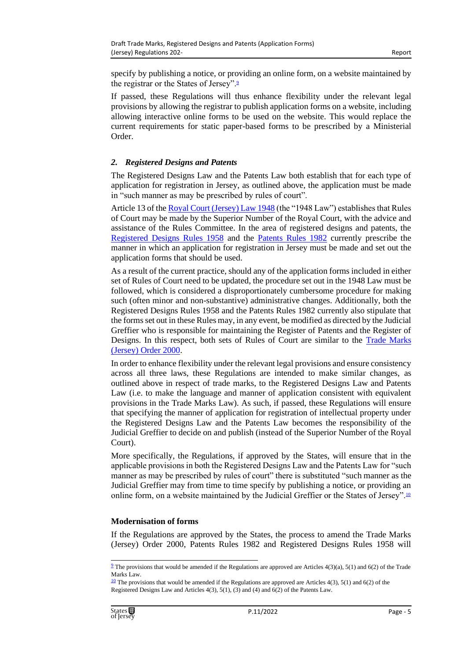specify by publishing a notice, or providing an online form, on a website maintained by the registrar or the States of Jersey"[.](#page-4-0)<sup>9</sup>

<span id="page-4-2"></span>If passed, these Regulations will thus enhance flexibility under the relevant legal provisions by allowing the registrar to publish application forms on a website, including allowing interactive online forms to be used on the website. This would replace the current requirements for static paper-based forms to be prescribed by a Ministerial Order.

#### *2. Registered Designs and Patents*

The Registered Designs Law and the Patents Law both establish that for each type of application for registration in Jersey, as outlined above, the application must be made in "such manner as may be prescribed by rules of court".

Article 13 of th[e Royal Court \(Jersey\) Law 1948](https://www.jerseylaw.je/laws/current/Pages/07.770.aspx) (the "1948 Law") establishes that Rules of Court may be made by the Superior Number of the Royal Court, with the advice and assistance of the Rules Committee. In the area of registered designs and patents, the [Registered Designs Rules 1958](https://www.jerseylaw.je/laws/current/Pages/05.700.50.aspx) and the [Patents Rules 1982](https://www.jerseylaw.je/laws/current/Pages/05.575.50.aspx) currently prescribe the manner in which an application for registration in Jersey must be made and set out the application forms that should be used.

As a result of the current practice, should any of the application forms included in either set of Rules of Court need to be updated, the procedure set out in the 1948 Law must be followed, which is considered a disproportionately cumbersome procedure for making such (often minor and non-substantive) administrative changes. Additionally, both the Registered Designs Rules 1958 and the Patents Rules 1982 currently also stipulate that the forms set out in these Rules may, in any event, be modified as directed by the Judicial Greffier who is responsible for maintaining the Register of Patents and the Register of Designs. In this respect, both sets of Rules of Court are similar to the [Trade Marks](https://www.jerseylaw.je/laws/current/Pages/05.900.30.aspx)  [\(Jersey\) Order 2000.](https://www.jerseylaw.je/laws/current/Pages/05.900.30.aspx)

In order to enhance flexibility under the relevant legal provisions and ensure consistency across all three laws, these Regulations are intended to make similar changes, as outlined above in respect of trade marks, to the Registered Designs Law and Patents Law (i.e. to make the language and manner of application consistent with equivalent provisions in the Trade Marks Law). As such, if passed, these Regulations will ensure that specifying the manner of application for registration of intellectual property under the Registered Designs Law and the Patents Law becomes the responsibility of the Judicial Greffier to decide on and publish (instead of the Superior Number of the Royal Court).

More specifically, the Regulations, if approved by the States, will ensure that in the applicable provisions in both the Registered Designs Law and the Patents Law for "such manner as may be prescribed by rules of court" there is substituted "such manner as the Judicial Greffier may from time to time specify by publishing a notice, or providing an online form, on a website maintained by the Judicial Greffier or the States of Jersey".[10](#page-4-1)

#### <span id="page-4-3"></span>**Modernisation of forms**

If the Regulations are approved by the States, the process to amend the Trade Marks (Jersey) Order 2000, Patents Rules 1982 and Registered Designs Rules 1958 will

<span id="page-4-0"></span> $9$  The provisions that would be amended if the Regulations are approved are Articles 4(3)(a), 5(1) and 6(2) of the Trade Marks Law.

<span id="page-4-1"></span> $\frac{10}{2}$  $\frac{10}{2}$  $\frac{10}{2}$  The provisions that would be amended if the Regulations are approved are Articles 4(3), 5(1) and 6(2) of the Registered Designs Law and Articles  $4(3)$ ,  $5(1)$ ,  $(3)$  and  $(4)$  and  $6(2)$  of the Patents Law.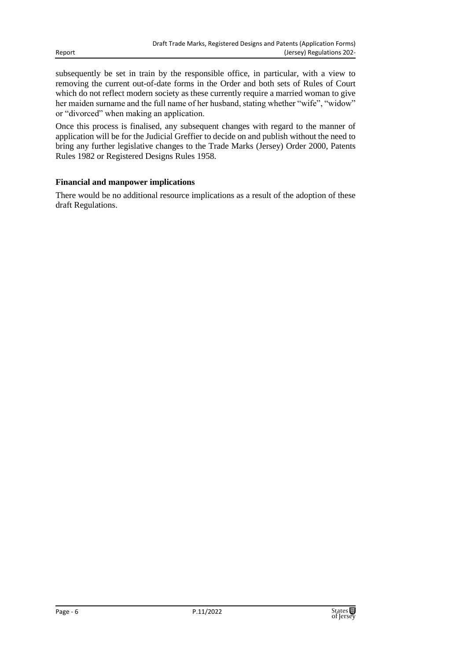subsequently be set in train by the responsible office, in particular, with a view to removing the current out-of-date forms in the Order and both sets of Rules of Court which do not reflect modern society as these currently require a married woman to give her maiden surname and the full name of her husband, stating whether "wife", "widow" or "divorced" when making an application.

Once this process is finalised, any subsequent changes with regard to the manner of application will be for the Judicial Greffier to decide on and publish without the need to bring any further legislative changes to the Trade Marks (Jersey) Order 2000, Patents Rules 1982 or Registered Designs Rules 1958.

#### **Financial and manpower implications**

There would be no additional resource implications as a result of the adoption of these draft Regulations.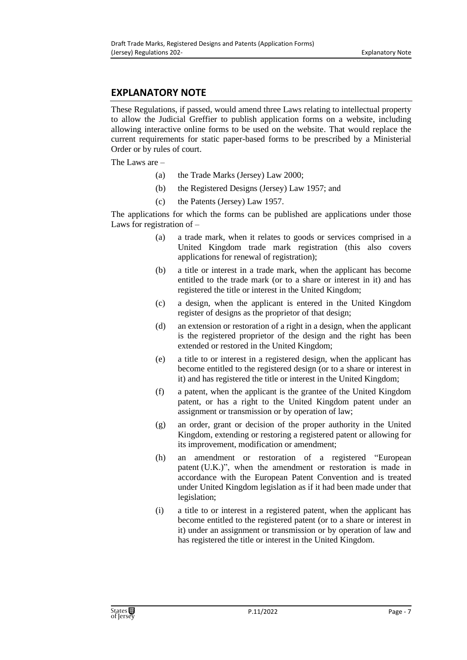# **EXPLANATORY NOTE**

These Regulations, if passed, would amend three Laws relating to intellectual property to allow the Judicial Greffier to publish application forms on a website, including allowing interactive online forms to be used on the website. That would replace the current requirements for static paper-based forms to be prescribed by a Ministerial Order or by rules of court.

The Laws are –

- (a) the Trade Marks (Jersey) Law 2000;
- (b) the Registered Designs (Jersey) Law 1957; and
- (c) the Patents (Jersey) Law 1957.

The applications for which the forms can be published are applications under those Laws for registration of –

- (a) a trade mark, when it relates to goods or services comprised in a United Kingdom trade mark registration (this also covers applications for renewal of registration);
- (b) a title or interest in a trade mark, when the applicant has become entitled to the trade mark (or to a share or interest in it) and has registered the title or interest in the United Kingdom;
- (c) a design, when the applicant is entered in the United Kingdom register of designs as the proprietor of that design;
- (d) an extension or restoration of a right in a design, when the applicant is the registered proprietor of the design and the right has been extended or restored in the United Kingdom;
- (e) a title to or interest in a registered design, when the applicant has become entitled to the registered design (or to a share or interest in it) and has registered the title or interest in the United Kingdom;
- (f) a patent, when the applicant is the grantee of the United Kingdom patent, or has a right to the United Kingdom patent under an assignment or transmission or by operation of law;
- (g) an order, grant or decision of the proper authority in the United Kingdom, extending or restoring a registered patent or allowing for its improvement, modification or amendment;
- (h) an amendment or restoration of a registered "European patent (U.K.)", when the amendment or restoration is made in accordance with the European Patent Convention and is treated under United Kingdom legislation as if it had been made under that legislation;
- (i) a title to or interest in a registered patent, when the applicant has become entitled to the registered patent (or to a share or interest in it) under an assignment or transmission or by operation of law and has registered the title or interest in the United Kingdom.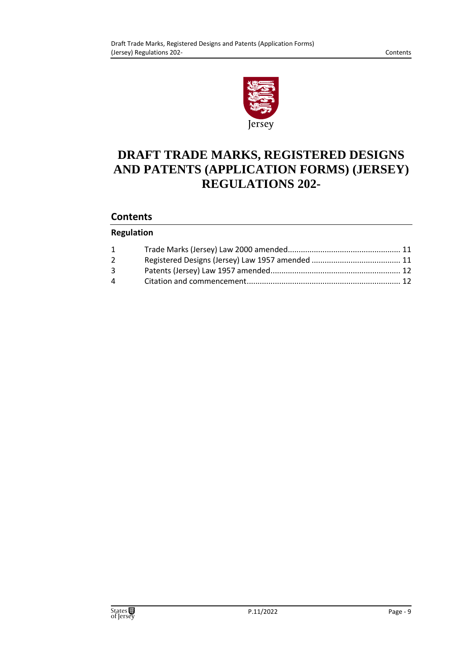

# **DRAFT TRADE MARKS, REGISTERED DESIGNS AND PATENTS (APPLICATION FORMS) (JERSEY) REGULATIONS 202-**

# **Contents**

### **Regulation**

| $1 \quad \blacksquare$            |  |
|-----------------------------------|--|
| $2^{\circ}$                       |  |
| $3^{\circ}$                       |  |
| $\overline{4}$ and $\overline{4}$ |  |
|                                   |  |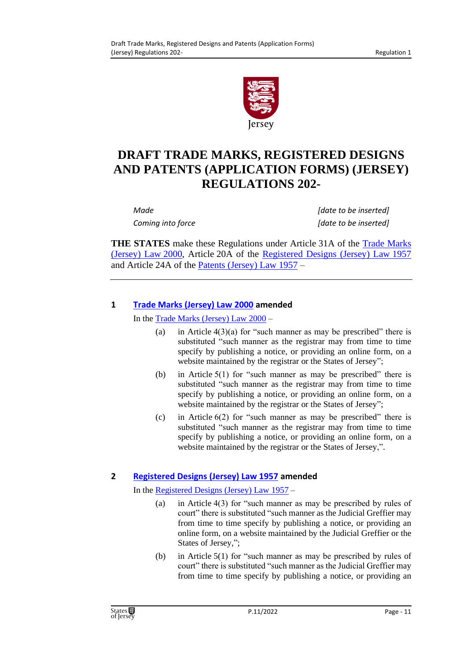

# **DRAFT TRADE MARKS, REGISTERED DESIGNS AND PATENTS (APPLICATION FORMS) (JERSEY) REGULATIONS 202-**

*Made [date to be inserted] Coming into force [date to be inserted]*

**THE STATES** make these Regulations under Article 31A of the [Trade Marks](https://www.jerseylaw.je/laws/current/Pages/05.900.aspx)  [\(Jersey\) Law](https://www.jerseylaw.je/laws/current/Pages/05.900.aspx) 2000, Article 20A of the [Registered Designs \(Jersey\) Law](https://www.jerseylaw.je/laws/current/Pages/05.700.aspx) 1957 and Article 24A of the [Patents \(Jersey\) Law](https://www.jerseylaw.je/laws/current/Pages/05.575.aspx) 1957 –

# <span id="page-10-0"></span>**1 [Trade Marks \(Jersey\) Law 2000](https://www.jerseylaw.je/laws/current/Pages/05.900.aspx) amended**

In the [Trade Marks \(Jersey\) Law](https://www.jerseylaw.je/laws/current/Pages/05.900.aspx) 2000 –

- (a) in Article  $4(3)(a)$  for "such manner as may be prescribed" there is substituted "such manner as the registrar may from time to time specify by publishing a notice, or providing an online form, on a website maintained by the registrar or the States of Jersey";
- (b) in Article 5(1) for "such manner as may be prescribed" there is substituted "such manner as the registrar may from time to time specify by publishing a notice, or providing an online form, on a website maintained by the registrar or the States of Jersey";
- (c) in Article 6(2) for "such manner as may be prescribed" there is substituted "such manner as the registrar may from time to time specify by publishing a notice, or providing an online form, on a website maintained by the registrar or the States of Jersey,".

# <span id="page-10-1"></span>**2 [Registered Designs \(Jersey\) Law 1957](https://www.jerseylaw.je/laws/current/Pages/05.700.aspx) amended**

In the [Registered Designs \(Jersey\) Law 1957](https://www.jerseylaw.je/laws/current/Pages/05.700.aspx) –

- (a) in Article 4(3) for "such manner as may be prescribed by rules of court" there is substituted "such manner as the Judicial Greffier may from time to time specify by publishing a notice, or providing an online form, on a website maintained by the Judicial Greffier or the States of Jersey,";
- (b) in Article 5(1) for "such manner as may be prescribed by rules of court" there is substituted "such manner as the Judicial Greffier may from time to time specify by publishing a notice, or providing an